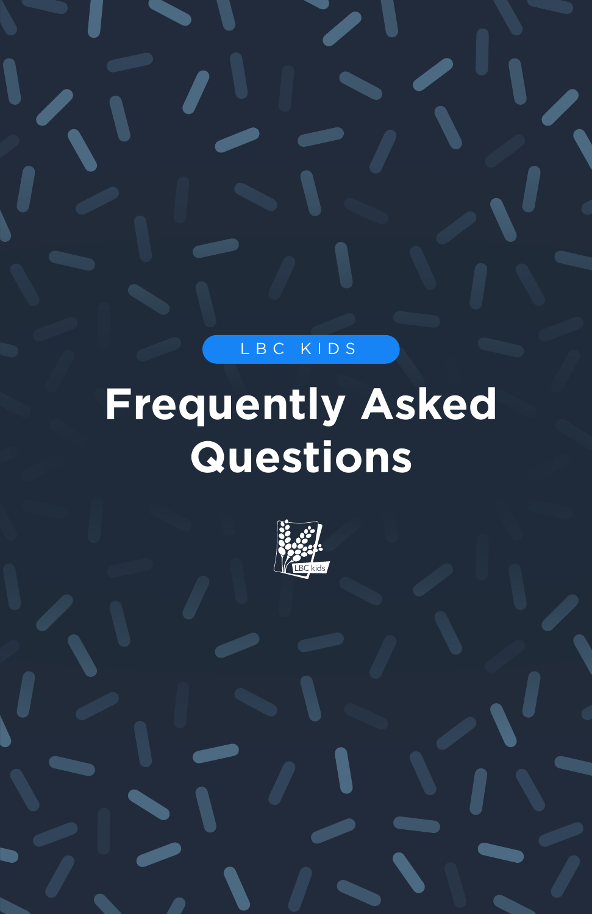LBC KIDS

# **Frequently Asked Questions**

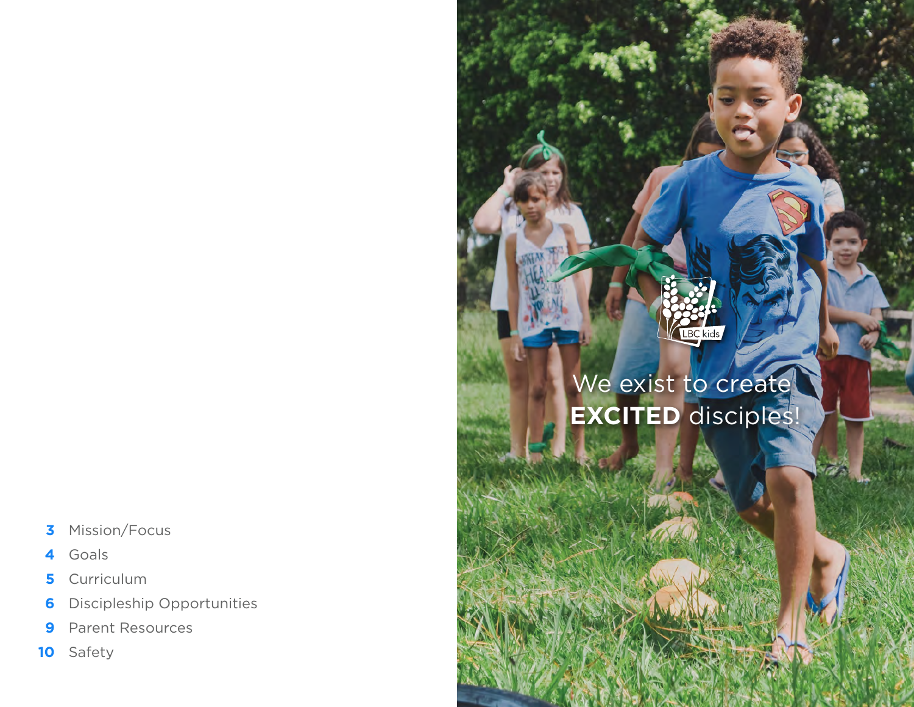- **3** Mission/Focus
- **4** Goals
- **5 Curriculum**
- **6** Discipleship Opportunities
- **9** Parent Resources
- **10** Safety

# LBC kids We exist to create

# **EXCITED** disciples!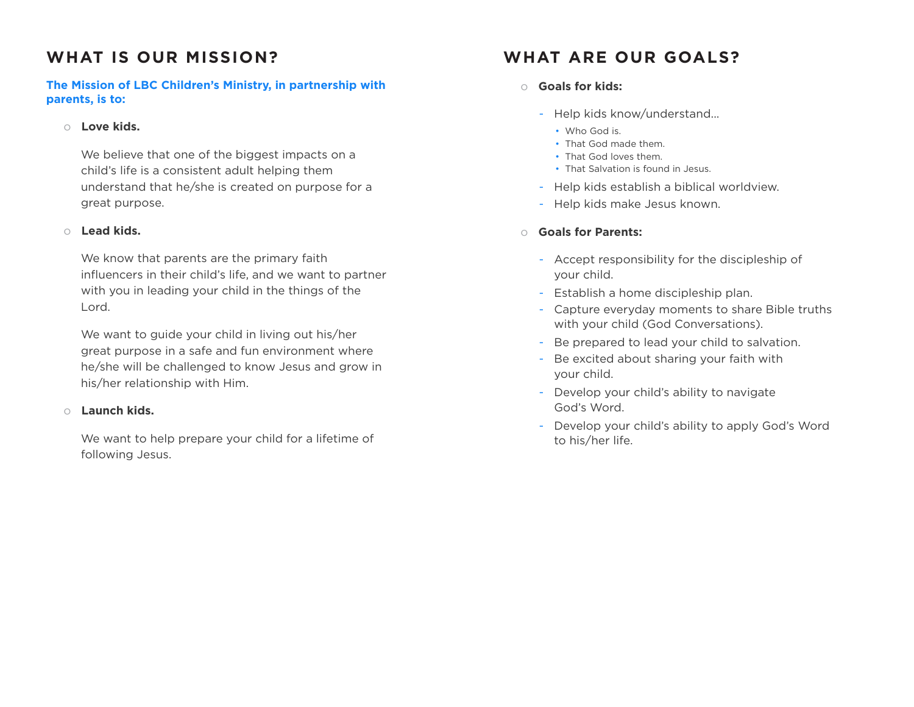# **WHAT IS OUR MISSION?**

## **The Mission of LBC Children's Ministry, in partnership with parents, is to:**

### o **Love kids.**

We believe that one of the biggest impacts on a child's life is a consistent adult helping them understand that he/she is created on purpose for a great purpose.

### o **Lead kids.**

We know that parents are the primary faith influencers in their child's life, and we want to partner with you in leading your child in the things of the Lord.

We want to guide your child in living out his/her great purpose in a safe and fun environment where he/she will be challenged to know Jesus and grow in his/her relationship with Him.

### o **Launch kids.**

We want to help prepare your child for a lifetime of following Jesus.

# **WHAT ARE OUR GOALS?**

## o **Goals for kids:**

- Help kids know/understand...
	- Who God is.
	- That God made them.
	- That God loves them.
	- That Salvation is found in Jesus.
- Help kids establish a biblical worldview.
- Help kids make Jesus known.

## o **Goals for Parents:**

- Accept responsibility for the discipleship of your child.
- Establish a home discipleship plan.
- Capture everyday moments to share Bible truths with your child (God Conversations).
- Be prepared to lead your child to salvation.
- Be excited about sharing your faith with your child.
- Develop your child's ability to navigate God's Word.
- Develop your child's ability to apply God's Word to his/her life.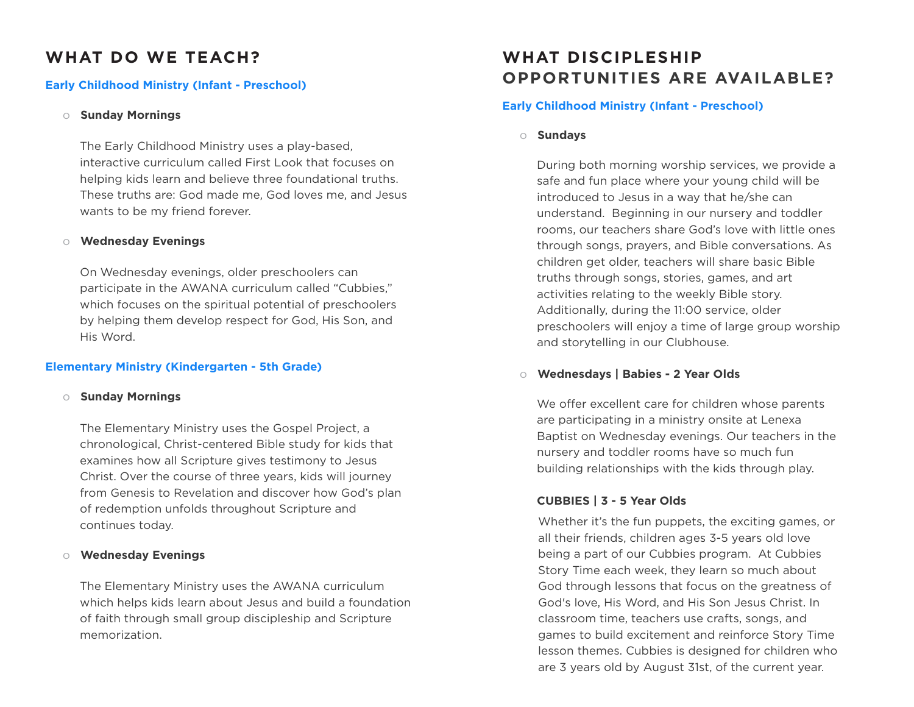# **WHAT DO WE TEACH?**

### **Early Childhood Ministry (Infant - Preschool)**

#### o **Sunday Mornings**

The Early Childhood Ministry uses a play-based, interactive curriculum called First Look that focuses on helping kids learn and believe three foundational truths. These truths are: God made me, God loves me, and Jesus wants to be my friend forever.

### o **Wednesday Evenings**

On Wednesday evenings, older preschoolers can participate in the AWANA curriculum called "Cubbies," which focuses on the spiritual potential of preschoolers by helping them develop respect for God, His Son, and His Word.

### **Elementary Ministry (Kindergarten - 5th Grade)**

#### o **Sunday Mornings**

The Elementary Ministry uses the Gospel Project, a chronological, Christ-centered Bible study for kids that examines how all Scripture gives testimony to Jesus Christ. Over the course of three years, kids will journey from Genesis to Revelation and discover how God's plan of redemption unfolds throughout Scripture and continues today.

### o **Wednesday Evenings**

The Elementary Ministry uses the AWANA curriculum which helps kids learn about Jesus and build a foundation of faith through small group discipleship and Scripture memorization.

# **WHAT DISCIPLESHIP OPPORTUNITIES ARE AVAILABLE?**

# **Early Childhood Ministry (Infant - Preschool)**

o **Sundays**

During both morning worship services, we provide a safe and fun place where your young child will be introduced to Jesus in a way that he/she can understand. Beginning in our nursery and toddler rooms, our teachers share God's love with little ones through songs, prayers, and Bible conversations. As children get older, teachers will share basic Bible truths through songs, stories, games, and art activities relating to the weekly Bible story. Additionally, during the 11:00 service, older preschoolers will enjoy a time of large group worship and storytelling in our Clubhouse.

## o **Wednesdays | Babies - 2 Year Olds**

We offer excellent care for children whose parents are participating in a ministry onsite at Lenexa Baptist on Wednesday evenings. Our teachers in the nursery and toddler rooms have so much fun building relationships with the kids through play.

# **CUBBIES | 3 - 5 Year Olds**

Whether it's the fun puppets, the exciting games, or all their friends, children ages 3-5 years old love being a part of our Cubbies program. At Cubbies Story Time each week, they learn so much about God through lessons that focus on the greatness of God's love, His Word, and His Son Jesus Christ. In classroom time, teachers use crafts, songs, and games to build excitement and reinforce Story Time lesson themes. Cubbies is designed for children who are 3 years old by August 31st, of the current year.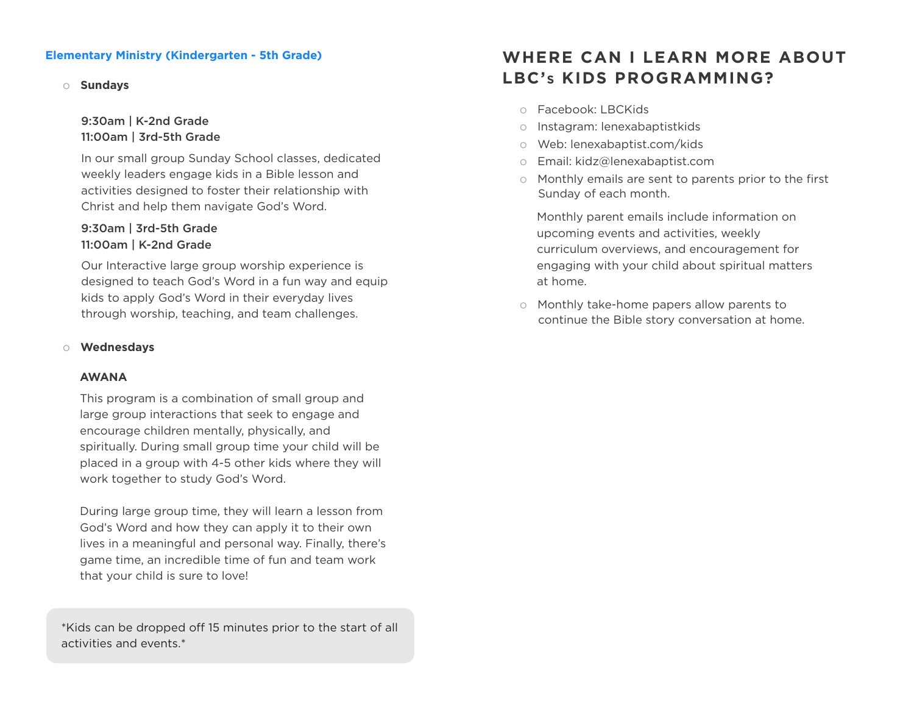### **Elementary Ministry (Kindergarten - 5th Grade)**

#### o **Sundays**

# 9:30am | K-2nd Grade 11:00am | 3rd-5th Grade

In our small group Sunday School classes, dedicated weekly leaders engage kids in a Bible lesson and activities designed to foster their relationship with Christ and help them navigate God's Word.

## 9:30am | 3rd-5th Grade 11:00am | K-2nd Grade

Our Interactive large group worship experience is designed to teach God's Word in a fun way and equip kids to apply God's Word in their everyday lives through worship, teaching, and team challenges.

#### o **Wednesdays**

#### **AWANA**

This program is a combination of small group and large group interactions that seek to engage and encourage children mentally, physically, and spiritually. During small group time your child will be placed in a group with 4-5 other kids where they will work together to study God's Word.

During large group time, they will learn a lesson from God's Word and how they can apply it to their own lives in a meaningful and personal way. Finally, there's game time, an incredible time of fun and team work that your child is sure to love!

\*Kids can be dropped off 15 minutes prior to the start of all activities and events.\*

# **WHERE CAN I LEARN MORE ABOUT LBC'S KIDS PROGRAMMING?**

- o Facebook: LBCKids
- o Instagram: lenexabaptistkids
- o Web: lenexabaptist.com/kids
- o Email: kidz@lenexabaptist.com
- o Monthly emails are sent to parents prior to the first Sunday of each month.

Monthly parent emails include information on upcoming events and activities, weekly curriculum overviews, and encouragement for engaging with your child about spiritual matters at home.

o Monthly take-home papers allow parents to continue the Bible story conversation at home.